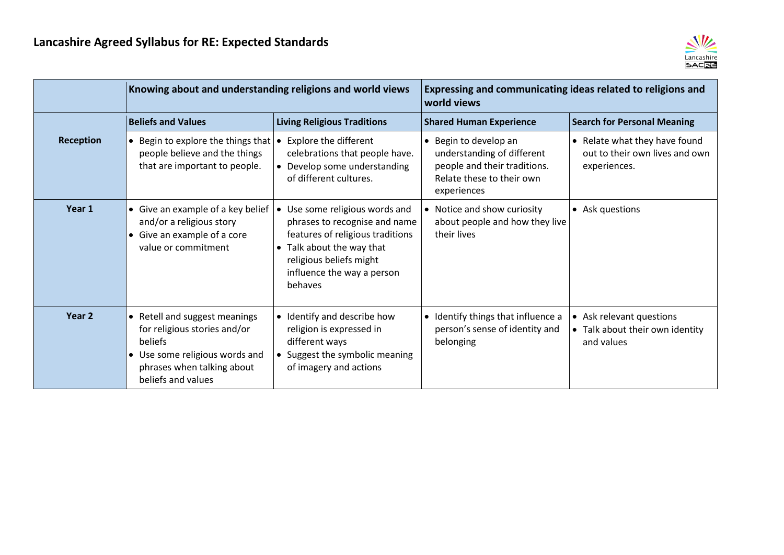

|                  | Knowing about and understanding religions and world views                                                                                                      |                                                                                                                                                                                                    | Expressing and communicating ideas related to religions and<br>world views                                                      |                                                                                 |
|------------------|----------------------------------------------------------------------------------------------------------------------------------------------------------------|----------------------------------------------------------------------------------------------------------------------------------------------------------------------------------------------------|---------------------------------------------------------------------------------------------------------------------------------|---------------------------------------------------------------------------------|
|                  | <b>Beliefs and Values</b>                                                                                                                                      | <b>Living Religious Traditions</b>                                                                                                                                                                 | <b>Shared Human Experience</b>                                                                                                  | <b>Search for Personal Meaning</b>                                              |
| <b>Reception</b> | • Begin to explore the things that $\cdot$<br>people believe and the things<br>that are important to people.                                                   | Explore the different<br>celebrations that people have.<br>• Develop some understanding<br>of different cultures.                                                                                  | • Begin to develop an<br>understanding of different<br>people and their traditions.<br>Relate these to their own<br>experiences | • Relate what they have found<br>out to their own lives and own<br>experiences. |
| Year 1           | • Give an example of a key belief<br>and/or a religious story<br>• Give an example of a core<br>value or commitment                                            | Use some religious words and<br>phrases to recognise and name<br>features of religious traditions<br>• Talk about the way that<br>religious beliefs might<br>influence the way a person<br>behaves | • Notice and show curiosity<br>about people and how they live<br>their lives                                                    | • Ask questions                                                                 |
| Year 2           | • Retell and suggest meanings<br>for religious stories and/or<br>beliefs<br>• Use some religious words and<br>phrases when talking about<br>beliefs and values | • Identify and describe how<br>religion is expressed in<br>different ways<br>• Suggest the symbolic meaning<br>of imagery and actions                                                              | • Identify things that influence a<br>person's sense of identity and<br>belonging                                               | • Ask relevant questions<br>• Talk about their own identity<br>and values       |